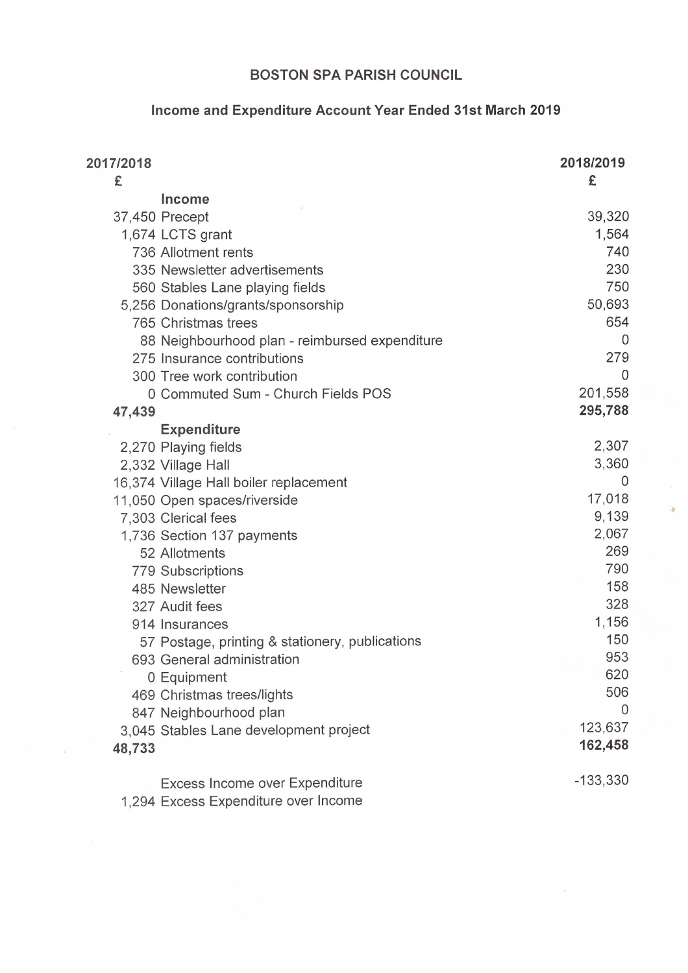# Income and Expenditure Account Year Ended 31st March 2019

| 2017/2018 |                                                 | 2018/2019   |
|-----------|-------------------------------------------------|-------------|
| £         |                                                 | £           |
|           | Income                                          |             |
|           | 37,450 Precept                                  | 39,320      |
|           | 1,674 LCTS grant                                | 1,564       |
|           | 736 Allotment rents                             | 740         |
|           | 335 Newsletter advertisements                   | 230         |
|           | 560 Stables Lane playing fields                 | 750         |
|           | 5,256 Donations/grants/sponsorship              | 50,693      |
|           | 765 Christmas trees                             | 654         |
|           | 88 Neighbourhood plan - reimbursed expenditure  | $\Omega$    |
|           | 275 Insurance contributions                     | 279         |
|           | 300 Tree work contribution                      | $\mathbf 0$ |
|           | 0 Commuted Sum - Church Fields POS              | 201,558     |
| 47,439    |                                                 | 295,788     |
|           | <b>Expenditure</b>                              |             |
|           | 2,270 Playing fields                            | 2,307       |
|           | 2,332 Village Hall                              | 3,360       |
|           | 16,374 Village Hall boiler replacement          | 0           |
|           | 11,050 Open spaces/riverside                    | 17,018      |
|           | 7,303 Clerical fees                             | 9,139       |
|           | 1,736 Section 137 payments                      | 2,067       |
|           | 52 Allotments                                   | 269         |
|           | 779 Subscriptions                               | 790         |
|           | 485 Newsletter                                  | 158         |
|           | 327 Audit fees                                  | 328         |
|           | 914 Insurances                                  | 1,156       |
|           | 57 Postage, printing & stationery, publications | 150         |
|           | 693 General administration                      | 953         |
|           | 0 Equipment                                     | 620         |
|           | 469 Christmas trees/lights                      | 506         |
|           | 847 Neighbourhood plan                          | 0           |
|           | 3,045 Stables Lane development project          | 123,637     |
| 48,733    |                                                 | 162,458     |
|           | Excess Income over Expenditure                  | $-133,330$  |
|           | 1,294 Excess Expenditure over Income            |             |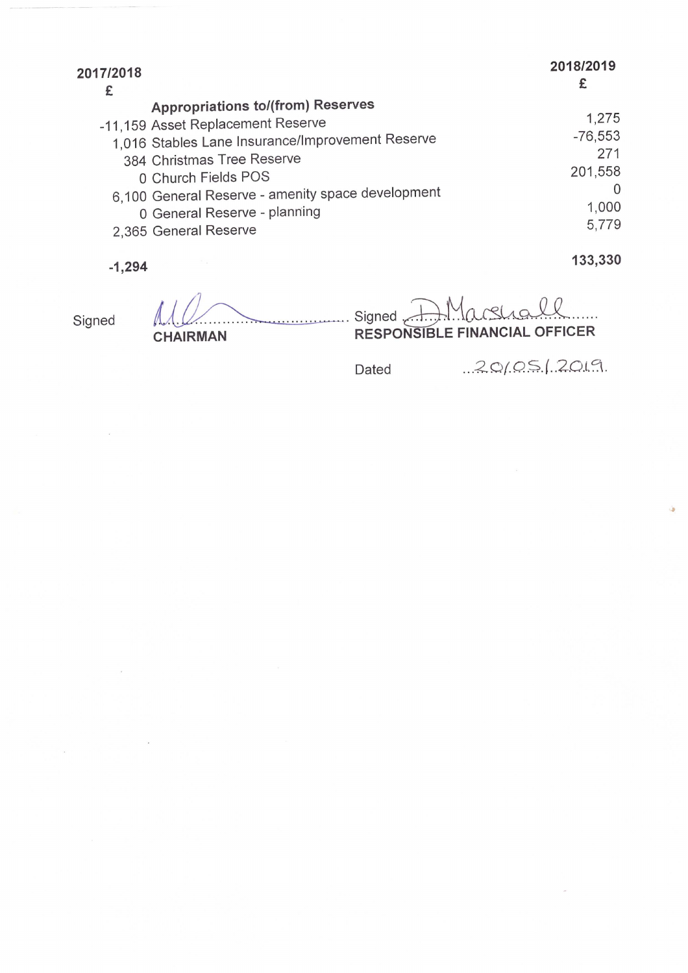| 2017/2018 |                                                                                                                                                                                                                                             | 2018/2019<br>Ł                       |
|-----------|---------------------------------------------------------------------------------------------------------------------------------------------------------------------------------------------------------------------------------------------|--------------------------------------|
| £         | <b>Appropriations to/(from) Reserves</b><br>-11,159 Asset Replacement Reserve<br>1,016 Stables Lane Insurance/Improvement Reserve<br>384 Christmas Tree Reserve<br>0 Church Fields POS<br>6,100 General Reserve - amenity space development | 1,275<br>$-76,553$<br>271<br>201,558 |
| $-1,294$  | 0 General Reserve - planning<br>2,365 General Reserve                                                                                                                                                                                       | 1,000<br>5,779<br>133,330            |

Signed

**CHAIRMAN** 

Signed AMarshall

Dated

20/05/2019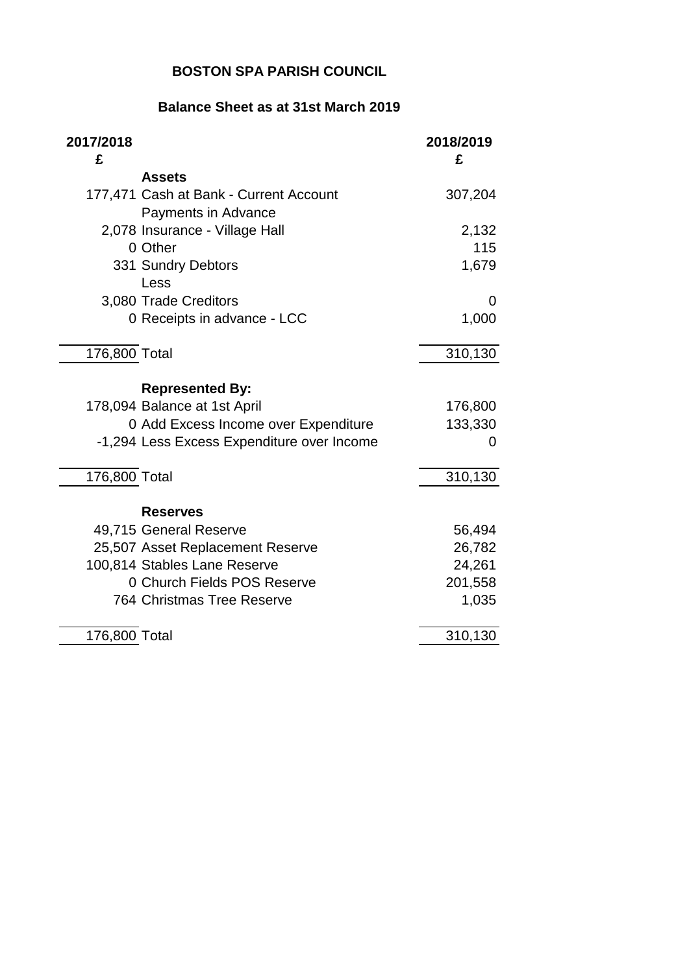## **Balance Sheet as at 31st March 2019**

| 2017/2018     |                                                               | 2018/2019<br>£ |
|---------------|---------------------------------------------------------------|----------------|
| £             | <b>Assets</b>                                                 |                |
|               |                                                               | 307,204        |
|               | 177,471 Cash at Bank - Current Account<br>Payments in Advance |                |
|               | 2,078 Insurance - Village Hall                                | 2,132          |
|               | 0 Other                                                       | 115            |
|               | 331 Sundry Debtors                                            | 1,679          |
|               | Less                                                          |                |
|               | 3,080 Trade Creditors                                         | 0              |
|               | 0 Receipts in advance - LCC                                   | 1,000          |
|               |                                                               |                |
| 176,800 Total |                                                               | 310,130        |
|               |                                                               |                |
|               | <b>Represented By:</b>                                        |                |
|               | 178,094 Balance at 1st April                                  | 176,800        |
|               | 0 Add Excess Income over Expenditure                          | 133,330        |
|               | -1,294 Less Excess Expenditure over Income                    | 0              |
| 176,800 Total |                                                               | 310,130        |
|               |                                                               |                |
|               | <b>Reserves</b>                                               |                |
|               | 49,715 General Reserve                                        | 56,494         |
|               | 25,507 Asset Replacement Reserve                              | 26,782         |
|               | 100,814 Stables Lane Reserve                                  | 24,261         |
|               | 0 Church Fields POS Reserve                                   | 201,558        |
|               | <b>764 Christmas Tree Reserve</b>                             | 1,035          |
|               |                                                               |                |
| 176,800 Total |                                                               | 310,130        |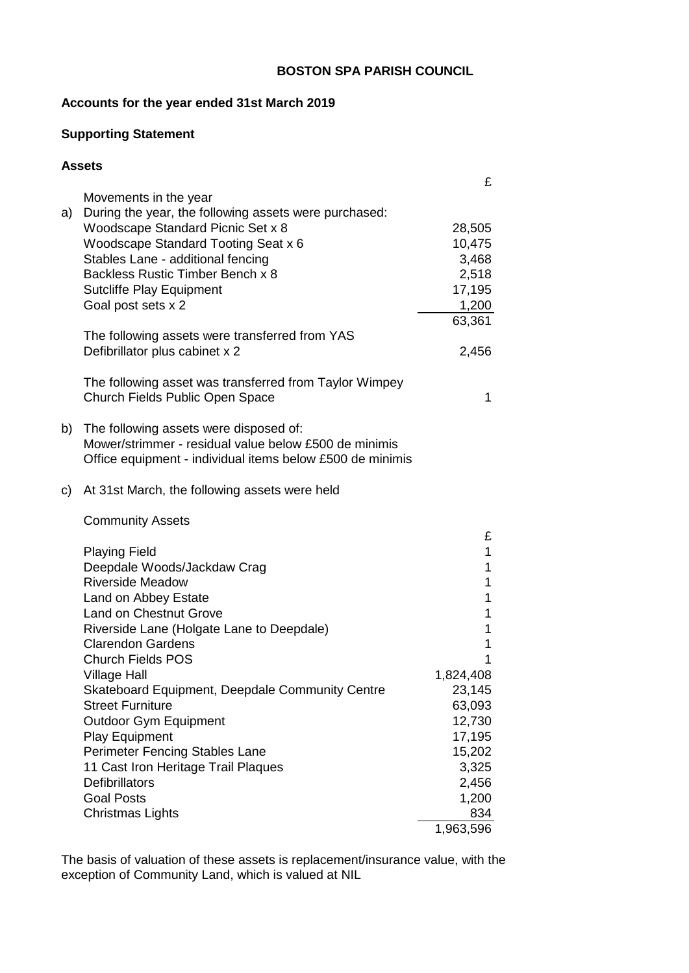## **Accounts for the year ended 31st March 2019**

### **Supporting Statement**

#### **Assets**

|    |                                                                                                                                                                                                                                                                                                                                                                                                                                                                              | £                                                                                                                 |
|----|------------------------------------------------------------------------------------------------------------------------------------------------------------------------------------------------------------------------------------------------------------------------------------------------------------------------------------------------------------------------------------------------------------------------------------------------------------------------------|-------------------------------------------------------------------------------------------------------------------|
| a) | Movements in the year<br>During the year, the following assets were purchased:<br>Woodscape Standard Picnic Set x 8<br>Woodscape Standard Tooting Seat x 6<br>Stables Lane - additional fencing<br>Backless Rustic Timber Bench x 8<br><b>Sutcliffe Play Equipment</b><br>Goal post sets x 2                                                                                                                                                                                 | 28,505<br>10,475<br>3,468<br>2,518<br>17,195<br>1,200                                                             |
|    | The following assets were transferred from YAS<br>Defibrillator plus cabinet x 2                                                                                                                                                                                                                                                                                                                                                                                             | 63,361<br>2,456                                                                                                   |
|    | The following asset was transferred from Taylor Wimpey<br>Church Fields Public Open Space                                                                                                                                                                                                                                                                                                                                                                                    | 1                                                                                                                 |
| b) | The following assets were disposed of:<br>Mower/strimmer - residual value below £500 de minimis<br>Office equipment - individual items below £500 de minimis                                                                                                                                                                                                                                                                                                                 |                                                                                                                   |
| C) | At 31st March, the following assets were held                                                                                                                                                                                                                                                                                                                                                                                                                                |                                                                                                                   |
|    | <b>Community Assets</b>                                                                                                                                                                                                                                                                                                                                                                                                                                                      |                                                                                                                   |
|    | <b>Playing Field</b><br>Deepdale Woods/Jackdaw Crag<br><b>Riverside Meadow</b><br>Land on Abbey Estate<br><b>Land on Chestnut Grove</b><br>Riverside Lane (Holgate Lane to Deepdale)<br><b>Clarendon Gardens</b><br><b>Church Fields POS</b><br><b>Village Hall</b><br>Skateboard Equipment, Deepdale Community Centre<br><b>Street Furniture</b><br><b>Outdoor Gym Equipment</b><br>Play Equipment<br>Perimeter Fencing Stables Lane<br>11 Cast Iron Heritage Trail Plaques | £<br>1<br>1<br>1<br>1<br>1<br>1<br>1<br>1<br>1,824,408<br>23,145<br>63,093<br>12,730<br>17,195<br>15,202<br>3,325 |
|    | Defibrillators<br><b>Goal Posts</b><br><b>Christmas Lights</b>                                                                                                                                                                                                                                                                                                                                                                                                               | 2,456<br>1,200<br>834                                                                                             |

The basis of valuation of these assets is replacement/insurance value, with the exception of Community Land, which is valued at NIL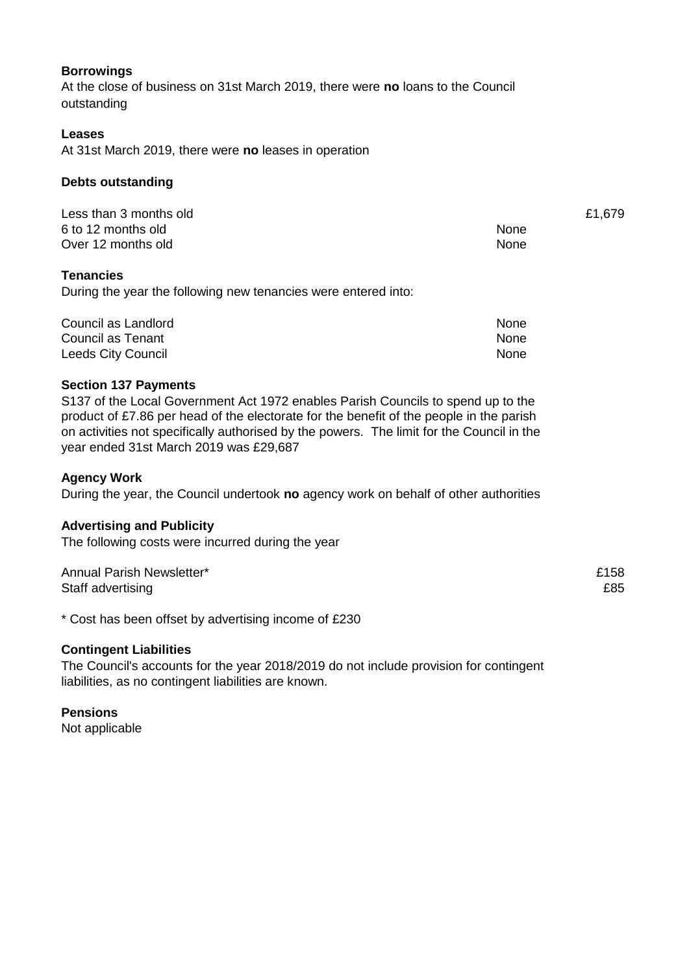#### **Borrowings**

At the close of business on 31st March 2019, there were **no** loans to the Council outstanding

#### **Leases**

At 31st March 2019, there were **no** leases in operation

#### **Debts outstanding**

| Less than 3 months old |             | £1,679 |
|------------------------|-------------|--------|
| 6 to 12 months old     | <b>None</b> |        |
| Over 12 months old     | <b>None</b> |        |

#### **Tenancies**

During the year the following new tenancies were entered into:

| Council as Landlord | None |
|---------------------|------|
| Council as Tenant   | None |
| Leeds City Council  | None |

#### **Section 137 Payments**

S137 of the Local Government Act 1972 enables Parish Councils to spend up to the product of £7.86 per head of the electorate for the benefit of the people in the parish on activities not specifically authorised by the powers. The limit for the Council in the year ended 31st March 2019 was £29,687

#### **Agency Work**

During the year, the Council undertook **no** agency work on behalf of other authorities

#### **Advertising and Publicity**

The following costs were incurred during the year

| Annual Parish Newsletter* | £158 |
|---------------------------|------|
| Staff advertising         | £85  |

\* Cost has been offset by advertising income of £230

#### **Contingent Liabilities**

The Council's accounts for the year 2018/2019 do not include provision for contingent liabilities, as no contingent liabilities are known.

#### **Pensions**

Not applicable